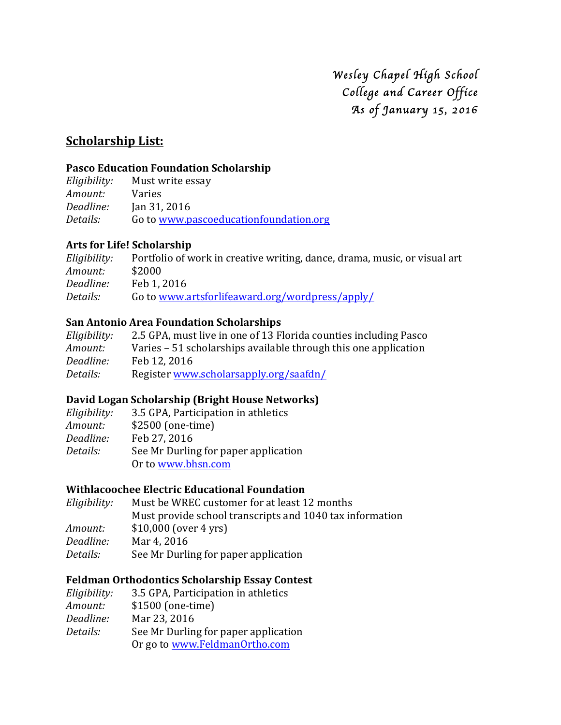*Wesley Chapel High School College and Career Office As of January 15, 2016* 

# **<u>Scholarship List:</u>**

#### **Pasco Education Foundation Scholarship**

*Eligibility:* Must write essay *Amount:* Varies *Deadline:* Jan 31, 2016 Details: Go to www.pascoeducationfoundation.org

#### **Arts for Life! Scholarship**

*Eligibility:* Portfolio of work in creative writing, dance, drama, music, or visual art *Amount:* \$2000 *Deadline:* Feb 1, 2016 *Details:* Go to www.artsforlifeaward.org/wordpress/apply/

#### **San Antonio Area Foundation Scholarships**

| Eligibility: | 2.5 GPA, must live in one of 13 Florida counties including Pasco |
|--------------|------------------------------------------------------------------|
| Amount:      | Varies – 51 scholarships available through this one application  |
| Deadline:    | Feb 12, 2016                                                     |
| Details:     | Register www.scholarsapply.org/saafdn/                           |

#### **David Logan Scholarship (Bright House Networks)**

| Eligibility: | 3.5 GPA, Participation in athletics  |
|--------------|--------------------------------------|
| Amount:      | \$2500 (one-time)                    |
| Deadline:    | Feb 27, 2016                         |
| Details:     | See Mr Durling for paper application |
|              | Or to www.bhsn.com                   |

# **Withlacoochee Electric Educational Foundation**

| Eligibility: | Must be WREC customer for at least 12 months             |  |
|--------------|----------------------------------------------------------|--|
|              | Must provide school transcripts and 1040 tax information |  |
| Amount:      | $$10,000$ (over 4 yrs)                                   |  |
| Deadline:    | Mar 4, 2016                                              |  |
| Details:     | See Mr Durling for paper application                     |  |
|              |                                                          |  |

#### **Feldman Orthodontics Scholarship Essay Contest**

| Eligibility: | 3.5 GPA, Participation in athletics  |
|--------------|--------------------------------------|
| Amount:      | \$1500 (one-time)                    |
| Deadline:    | Mar 23, 2016                         |
| Details:     | See Mr Durling for paper application |
|              | Or go to www.FeldmanOrtho.com        |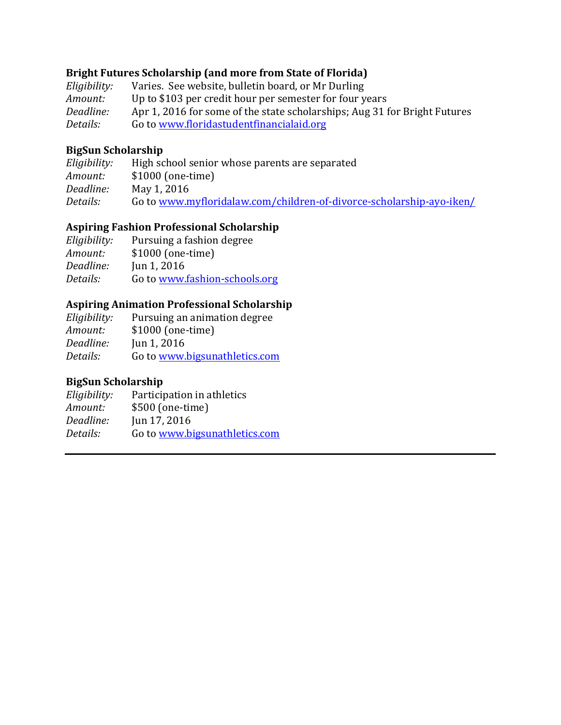#### **Bright Futures Scholarship (and more from State of Florida)**

*Eligibility:* Varies. See website, bulletin board, or Mr Durling *Amount:* Up to \$103 per credit hour per semester for four years *Deadline:* Apr 1, 2016 for some of the state scholarships; Aug 31 for Bright Futures Details: Go to www.floridastudentfinancialaid.org

## **BigSun Scholarship**

| Eligibility: | High school senior whose parents are separated                       |  |
|--------------|----------------------------------------------------------------------|--|
| Amount:      | $$1000$ (one-time)                                                   |  |
| Deadline:    | May 1, 2016                                                          |  |
| Details:     | Go to www.myfloridalaw.com/children-of-divorce-scholarship-ayo-iken/ |  |

## **Aspiring Fashion Professional Scholarship**

*Eligibility:* Pursuing a fashion degree *Amount:* \$1000 (one-time) *Deadline:* Jun 1, 2016 Details: Go to www.fashion-schools.org

## **Aspiring Animation Professional Scholarship**

| Eligibility: | Pursuing an animation degree  |
|--------------|-------------------------------|
| Amount:      | \$1000 (one-time)             |
| Deadline:    | Jun $1, 2016$                 |
| Details:     | Go to www.bigsunathletics.com |

# **BigSun Scholarship**

| Participation in athletics    |
|-------------------------------|
| \$500 (one-time)              |
| Jun 17, 2016                  |
| Go to www.bigsunathletics.com |
|                               |